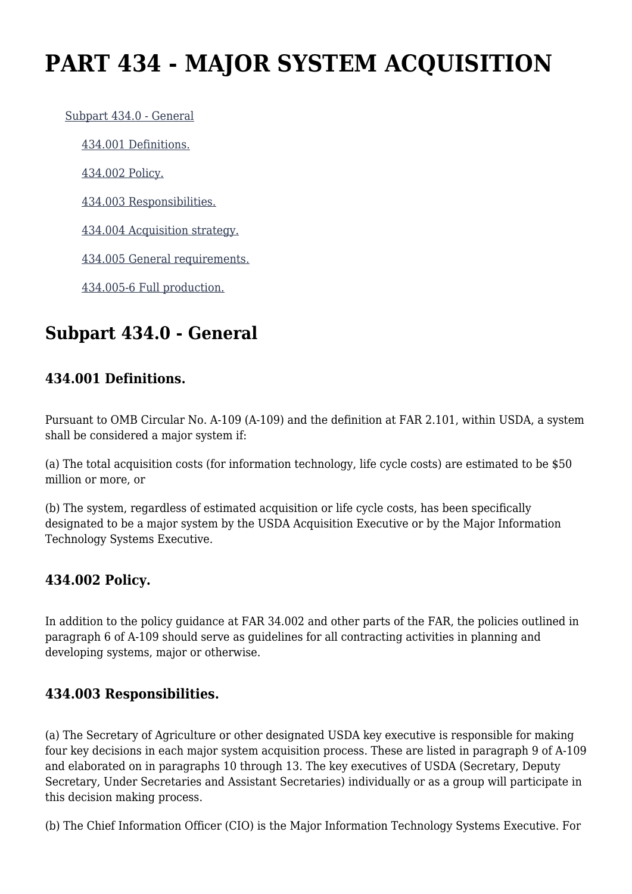# **PART 434 - MAJOR SYSTEM ACQUISITION**

 [Subpart 434.0 - General](https://origin-www.acquisition.gov/%5Brp:link:agar-part-434%5D#Subpart_434_0_T48_40216341) [434.001 Definitions.](https://origin-www.acquisition.gov/%5Brp:link:agar-part-434%5D#Section_434_001_T48_4021634111) [434.002 Policy.](https://origin-www.acquisition.gov/%5Brp:link:agar-part-434%5D#Section_434_002_T48_4021634112) [434.003 Responsibilities.](https://origin-www.acquisition.gov/%5Brp:link:agar-part-434%5D#Section_434_003_T48_4021634113) [434.004 Acquisition strategy.](https://origin-www.acquisition.gov/%5Brp:link:agar-part-434%5D#Section_434_004_T48_4021634114) [434.005 General requirements.](https://origin-www.acquisition.gov/%5Brp:link:agar-part-434%5D#Section_434_005_T48_4021634115) [434.005-6 Full production.](https://origin-www.acquisition.gov/%5Brp:link:agar-part-434%5D#Section_434_005_6_T48_4021634116)

# **Subpart 434.0 - General**

### **434.001 Definitions.**

Pursuant to OMB Circular No. A-109 (A-109) and the definition at FAR 2.101, within USDA, a system shall be considered a major system if:

(a) The total acquisition costs (for information technology, life cycle costs) are estimated to be \$50 million or more, or

(b) The system, regardless of estimated acquisition or life cycle costs, has been specifically designated to be a major system by the USDA Acquisition Executive or by the Major Information Technology Systems Executive.

#### **434.002 Policy.**

In addition to the policy guidance at FAR 34.002 and other parts of the FAR, the policies outlined in paragraph 6 of A-109 should serve as guidelines for all contracting activities in planning and developing systems, major or otherwise.

#### **434.003 Responsibilities.**

(a) The Secretary of Agriculture or other designated USDA key executive is responsible for making four key decisions in each major system acquisition process. These are listed in paragraph 9 of A-109 and elaborated on in paragraphs 10 through 13. The key executives of USDA (Secretary, Deputy Secretary, Under Secretaries and Assistant Secretaries) individually or as a group will participate in this decision making process.

(b) The Chief Information Officer (CIO) is the Major Information Technology Systems Executive. For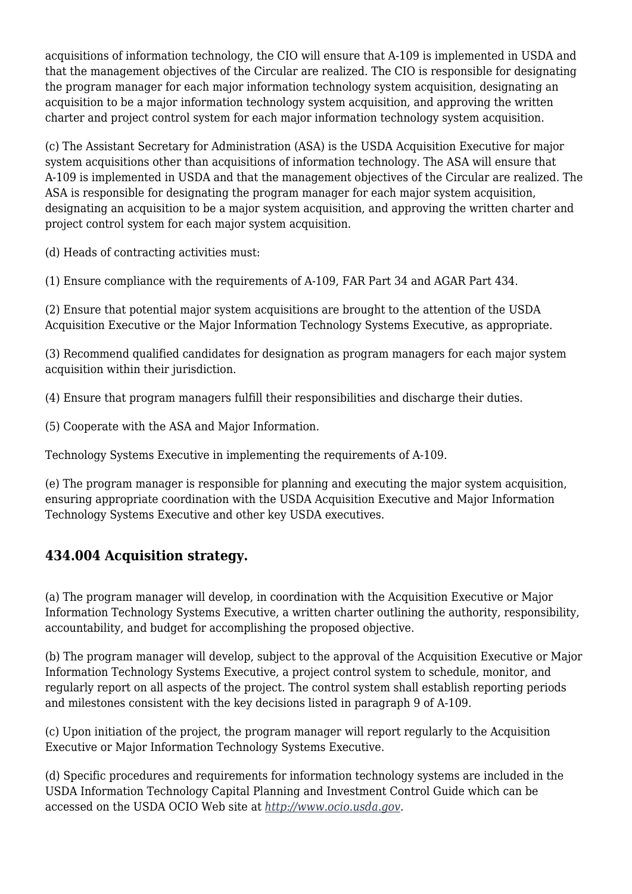acquisitions of information technology, the CIO will ensure that A-109 is implemented in USDA and that the management objectives of the Circular are realized. The CIO is responsible for designating the program manager for each major information technology system acquisition, designating an acquisition to be a major information technology system acquisition, and approving the written charter and project control system for each major information technology system acquisition.

(c) The Assistant Secretary for Administration (ASA) is the USDA Acquisition Executive for major system acquisitions other than acquisitions of information technology. The ASA will ensure that A-109 is implemented in USDA and that the management objectives of the Circular are realized. The ASA is responsible for designating the program manager for each major system acquisition, designating an acquisition to be a major system acquisition, and approving the written charter and project control system for each major system acquisition.

(d) Heads of contracting activities must:

(1) Ensure compliance with the requirements of A-109, FAR Part 34 and AGAR Part 434.

(2) Ensure that potential major system acquisitions are brought to the attention of the USDA Acquisition Executive or the Major Information Technology Systems Executive, as appropriate.

(3) Recommend qualified candidates for designation as program managers for each major system acquisition within their jurisdiction.

(4) Ensure that program managers fulfill their responsibilities and discharge their duties.

(5) Cooperate with the ASA and Major Information.

Technology Systems Executive in implementing the requirements of A-109.

(e) The program manager is responsible for planning and executing the major system acquisition, ensuring appropriate coordination with the USDA Acquisition Executive and Major Information Technology Systems Executive and other key USDA executives.

#### **434.004 Acquisition strategy.**

(a) The program manager will develop, in coordination with the Acquisition Executive or Major Information Technology Systems Executive, a written charter outlining the authority, responsibility, accountability, and budget for accomplishing the proposed objective.

(b) The program manager will develop, subject to the approval of the Acquisition Executive or Major Information Technology Systems Executive, a project control system to schedule, monitor, and regularly report on all aspects of the project. The control system shall establish reporting periods and milestones consistent with the key decisions listed in paragraph 9 of A-109.

(c) Upon initiation of the project, the program manager will report regularly to the Acquisition Executive or Major Information Technology Systems Executive.

(d) Specific procedures and requirements for information technology systems are included in the USDA Information Technology Capital Planning and Investment Control Guide which can be accessed on the USDA OCIO Web site at *<http://www.ocio.usda.gov>.*